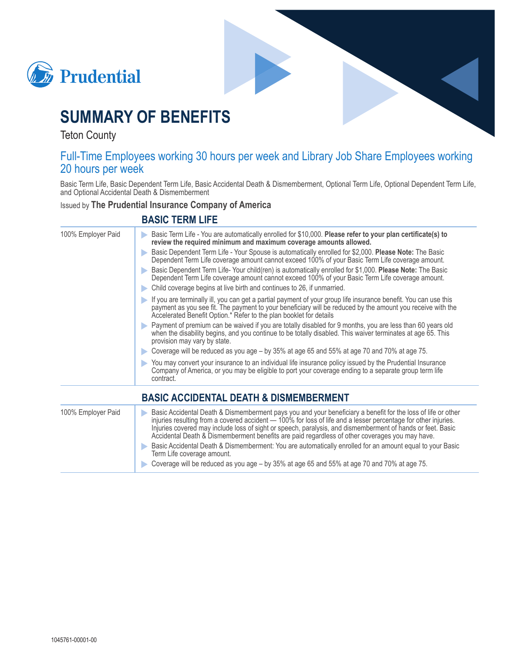



# **SUMMARY OF BENEFITS**

**Teton County** 

### Full-Time Employees working 30 hours per week and Library Job Share Employees working 20 hours per week

Basic Term Life, Basic Dependent Term Life, Basic Accidental Death & Dismemberment, Optional Term Life, Optional Dependent Term Life, and Optional Accidental Death & Dismemberment

**Issued by The Prudential Insurance Company of America** 

#### **BASIC TERM LIFE**

| 100% Employer Paid | Basic Term Life - You are automatically enrolled for \$10,000. Please refer to your plan certificate(s) to<br>review the required minimum and maximum coverage amounts allowed.<br>Basic Dependent Term Life - Your Spouse is automatically enrolled for \$2,000. Please Note: The Basic<br>Dependent Term Life coverage amount cannot exceed 100% of your Basic Term Life coverage amount.<br>Basic Dependent Term Life-Your child(ren) is automatically enrolled for \$1,000. Please Note: The Basic<br>Dependent Term Life coverage amount cannot exceed 100% of your Basic Term Life coverage amount. |
|--------------------|-----------------------------------------------------------------------------------------------------------------------------------------------------------------------------------------------------------------------------------------------------------------------------------------------------------------------------------------------------------------------------------------------------------------------------------------------------------------------------------------------------------------------------------------------------------------------------------------------------------|
|                    | Child coverage begins at live birth and continues to 26, if unmarried.<br>If you are terminally ill, you can get a partial payment of your group life insurance benefit. You can use this<br>$\blacktriangleright$<br>payment as you see fit. The payment to your beneficiary will be reduced by the amount you receive with the<br>Accelerated Benefit Option.* Refer to the plan booklet for details                                                                                                                                                                                                    |
|                    | Payment of premium can be waived if you are totally disabled for 9 months, you are less than 60 years old<br>when the disability begins, and you continue to be totally disabled. This waiver terminates at age 65. This<br>provision may vary by state.                                                                                                                                                                                                                                                                                                                                                  |
|                    | ► Coverage will be reduced as you age – by 35% at age 65 and 55% at age 70 and 70% at age 75.                                                                                                                                                                                                                                                                                                                                                                                                                                                                                                             |
|                    | You may convert your insurance to an individual life insurance policy issued by the Prudential Insurance<br>Company of America, or you may be eligible to port your coverage ending to a separate group term life<br>contract.                                                                                                                                                                                                                                                                                                                                                                            |
|                    | <b>BASIC ACCIDENTAL DEATH &amp; DISMEMBERMENT</b>                                                                                                                                                                                                                                                                                                                                                                                                                                                                                                                                                         |
| 100% Employer Paid | Basic Accidental Death & Dismemberment pays you and your beneficiary a benefit for the loss of life or other<br>D<br>injuries resulting from a covered accident - 100% for loss of life and a lesser percentage for other injuries.<br>Injuries covered may include loss of sight or speech, paralysis, and dismemberment of hands or feet. Basic<br>Accidental Death & Dismemberment benefits are paid regardless of other coverages you may have.<br>Basic Accidental Death & Dismemberment: You are automatically enrolled for an amount equal to your Basic                                           |
|                    | Term Life coverage amount.                                                                                                                                                                                                                                                                                                                                                                                                                                                                                                                                                                                |
|                    | Coverage will be reduced as you age – by 35% at age 65 and 55% at age 70 and 70% at age 75.                                                                                                                                                                                                                                                                                                                                                                                                                                                                                                               |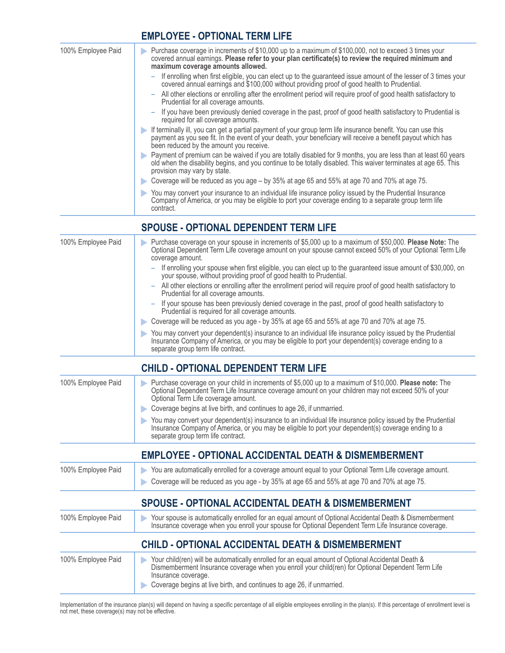#### **EMPLOYEE - OPTIONAL TERM LIFE**

| 100% Employee Paid | Purchase coverage in increments of \$10,000 up to a maximum of \$100,000, not to exceed 3 times your<br>D<br>covered annual earnings. Please refer to your plan certificate(s) to review the required minimum and<br>maximum coverage amounts allowed.               |
|--------------------|----------------------------------------------------------------------------------------------------------------------------------------------------------------------------------------------------------------------------------------------------------------------|
|                    | If enrolling when first eligible, you can elect up to the guaranteed issue amount of the lesser of 3 times your<br>covered annual earnings and \$100,000 without providing proof of good health to Prudential.                                                       |
|                    | All other elections or enrolling after the enrollment period will require proof of good health satisfactory to<br>Prudential for all coverage amounts.                                                                                                               |
|                    | - If you have been previously denied coverage in the past, proof of good health satisfactory to Prudential is<br>required for all coverage amounts.                                                                                                                  |
|                    | If terminally ill, you can get a partial payment of your group term life insurance benefit. You can use this payment as you see fit. In the event of your death, your beneficiary will receive a benefit payout which has<br>been reduced by the amount you receive. |
|                    | Payment of premium can be waived if you are totally disabled for 9 months, you are less than at least 60 years<br>old when the disability begins, and you continue to be totally disabled. This waiver terminates at age 65. This<br>provision may vary by state.    |
|                    | Coverage will be reduced as you age – by 35% at age 65 and 55% at age 70 and 70% at age 75.                                                                                                                                                                          |
|                    | You may convert your insurance to an individual life insurance policy issued by the Prudential Insurance<br>Company of America, or you may be eligible to port your coverage ending to a separate group term life<br>contract.                                       |
|                    | <b>SPOUSE - OPTIONAL DEPENDENT TERM LIFE</b>                                                                                                                                                                                                                         |
|                    |                                                                                                                                                                                                                                                                      |

| 100% Employee Paid | Purchase coverage on your spouse in increments of \$5,000 up to a maximum of \$50,000. Please Note: The<br>Optional Dependent Term Life coverage amount on your spouse cannot exceed 50% of your Optional Term Life<br>coverage amount.                  |
|--------------------|----------------------------------------------------------------------------------------------------------------------------------------------------------------------------------------------------------------------------------------------------------|
|                    | - If enrolling your spouse when first eligible, you can elect up to the guaranteed issue amount of \$30,000, on<br>your spouse, without providing proof of good health to Prudential.                                                                    |
|                    | - All other elections or enrolling after the enrollment period will require proof of good health satisfactory to<br>Prudential for all coverage amounts.                                                                                                 |
|                    | - If your spouse has been previously denied coverage in the past, proof of good health satisfactory to<br>Prudential is required for all coverage amounts.                                                                                               |
|                    | Coverage will be reduced as you age - by 35% at age 65 and 55% at age 70 and 70% at age 75.                                                                                                                                                              |
|                    | You may convert your dependent(s) insurance to an individual life insurance policy issued by the Prudential<br>Insurance Company of America, or you may be eligible to port your dependent(s) coverage ending to a<br>separate group term life contract. |

### **CHILD - OPTIONAL DEPENDENT TERM LIFE**

| 100% Employee Paid | Purchase coverage on your child in increments of \$5,000 up to a maximum of \$10,000. Please note: The<br>Optional Dependent Term Life Insurance coverage amount on your children may not exceed 50% of your<br>Optional Term Life coverage amount.<br>Coverage begins at live birth, and continues to age 26, if unmarried.<br>You may convert your dependent(s) insurance to an individual life insurance policy issued by the Prudential<br>Insurance Company of America, or you may be eligible to port your dependent(s) coverage ending to a<br>separate group term life contract. |
|--------------------|------------------------------------------------------------------------------------------------------------------------------------------------------------------------------------------------------------------------------------------------------------------------------------------------------------------------------------------------------------------------------------------------------------------------------------------------------------------------------------------------------------------------------------------------------------------------------------------|
|                    | <b>EMPLOYEE - OPTIONAL ACCIDENTAL DEATH &amp; DISMEMBERMENT</b>                                                                                                                                                                                                                                                                                                                                                                                                                                                                                                                          |
| 100% Employee Paid | You are automatically enrolled for a coverage amount equal to your Optional Term Life coverage amount.<br>$\blacktriangleright$<br>Coverage will be reduced as you age - by 35% at age 65 and 55% at age 70 and 70% at age 75.                                                                                                                                                                                                                                                                                                                                                           |
|                    | <b>SPOUSE - OPTIONAL ACCIDENTAL DEATH &amp; DISMEMBERMENT</b>                                                                                                                                                                                                                                                                                                                                                                                                                                                                                                                            |

| 100% Employee Paid | Your spouse is automatically enrolled for an equal amount of Optional Accidental Death & Dismemberment<br>Insurance coverage when you enroll your spouse for Optional Dependent Term Life Insurance coverage.<br>D                 |
|--------------------|------------------------------------------------------------------------------------------------------------------------------------------------------------------------------------------------------------------------------------|
|                    | <b>CHILD - OPTIONAL ACCIDENTAL DEATH &amp; DISMEMBERMENT</b>                                                                                                                                                                       |
| 100% Employee Paid | Your child(ren) will be automatically enrolled for an equal amount of Optional Accidental Death &<br>Dismemberment Insurance coverage when you enroll your child(ren) for Optional Dependent Term Life<br>D<br>Insurance coverage. |

Coverage begins at live birth, and continues to age 26, if unmarried.

Implementation of the insurance plan(s) will depend on having a specific percentage of all eligible employees enrolling in the plan(s). If this percentage of enrollment level is not met, these coverage(s) may not be effect